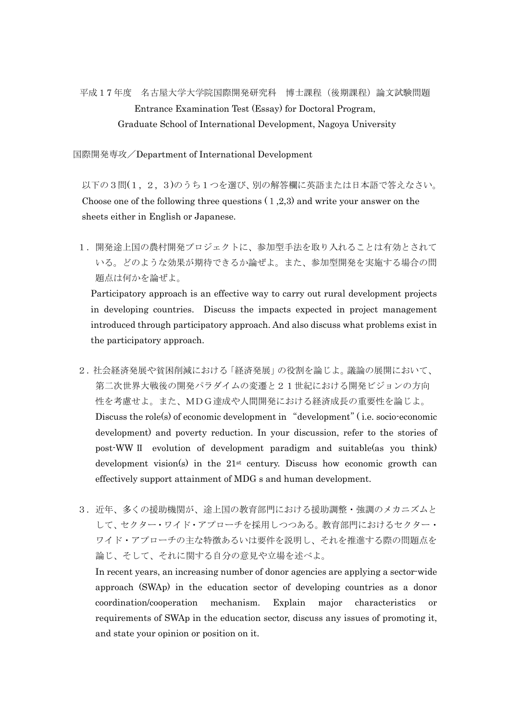平成17 年度 名古屋大学大学院国際開発研究科 博士課程(後期課程)論文試験問題 Entrance Examination Test (Essay) for Doctoral Program, Graduate School of International Development, Nagoya University

国際開発専攻/Department of International Development

 以下の3問(1, 2, 3)のうち1つを選び、別の解答欄に英語または日本語で答えなさい。 Choose one of the following three questions  $(1,2,3)$  and write your answer on the sheets either in English or Japanese.

1.開発途上国の農村開発プロジェクトに、参加型手法を取り入れることは有効とされて いる。どのような効果が期待できるか論ぜよ。また、参加型開発を実施する場合の問 題点は何かを論ぜよ。

Participatory approach is an effective way to carry out rural development projects in developing countries. Discuss the impacts expected in project management introduced through participatory approach. And also discuss what problems exist in the participatory approach.

- 2.社会経済発展や貧困削減における「経済発展」の役割を論じよ。議論の展開において、 第二次世界大戦後の開発パラダイムの変遷と21世紀における開発ビジョンの方向 性を考慮せよ。また、MDG達成や人間開発における経済成長の重要性を論じよ。 Discuss the role(s) of economic development in "development" (i.e. socio-economic development) and poverty reduction. In your discussion, refer to the stories of post-WW Ⅱ evolution of development paradigm and suitable(as you think) development vision(s) in the  $21<sup>st</sup>$  century. Discuss how economic growth can effectively support attainment of MDG s and human development.
- 3.近年、多くの援助機関が、途上国の教育部門における援助調整・強調のメカニズムと して、セクター・ワイド・アプローチを採用しつつある。教育部門におけるセクター・ ワイド・アプローチの主な特徴あるいは要件を説明し、それを推進する際の問題点を 論じ、そして、それに関する自分の意見や立場を述べよ。

 In recent years, an increasing number of donor agencies are applying a sector-wide approach (SWAp) in the education sector of developing countries as a donor coordination/cooperation mechanism. Explain major characteristics or requirements of SWAp in the education sector, discuss any issues of promoting it, and state your opinion or position on it.